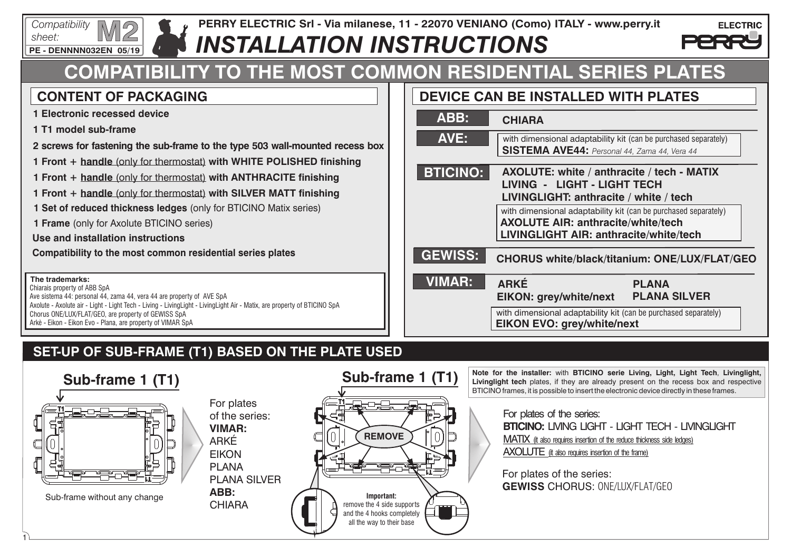